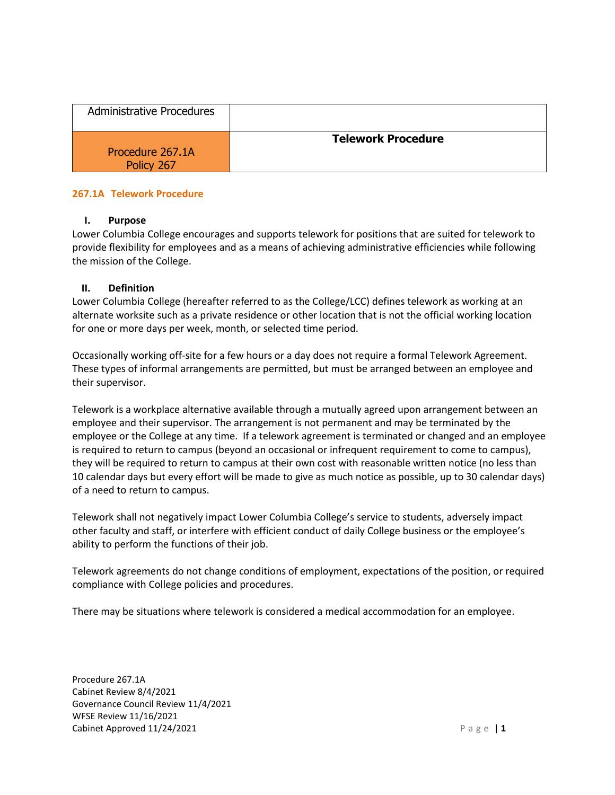| <b>Administrative Procedures</b> |                           |
|----------------------------------|---------------------------|
| Procedure 267.1A<br>Policy 267   | <b>Telework Procedure</b> |

### **267.1A Telework Procedure**

#### **I. Purpose**

Lower Columbia College encourages and supports telework for positions that are suited for telework to provide flexibility for employees and as a means of achieving administrative efficiencies while following the mission of the College.

#### **II. Definition**

Lower Columbia College (hereafter referred to as the College/LCC) defines telework as working at an alternate worksite such as a private residence or other location that is not the official working location for one or more days per week, month, or selected time period.

Occasionally working off-site for a few hours or a day does not require a formal Telework Agreement. These types of informal arrangements are permitted, but must be arranged between an employee and their supervisor.

Telework is a workplace alternative available through a mutually agreed upon arrangement between an employee and their supervisor. The arrangement is not permanent and may be terminated by the employee or the College at any time. If a telework agreement is terminated or changed and an employee is required to return to campus (beyond an occasional or infrequent requirement to come to campus), they will be required to return to campus at their own cost with reasonable written notice (no less than 10 calendar days but every effort will be made to give as much notice as possible, up to 30 calendar days) of a need to return to campus.

Telework shall not negatively impact Lower Columbia College's service to students, adversely impact other faculty and staff, or interfere with efficient conduct of daily College business or the employee's ability to perform the functions of their job.

Telework agreements do not change conditions of employment, expectations of the position, or required compliance with College policies and procedures.

There may be situations where telework is considered a medical accommodation for an employee.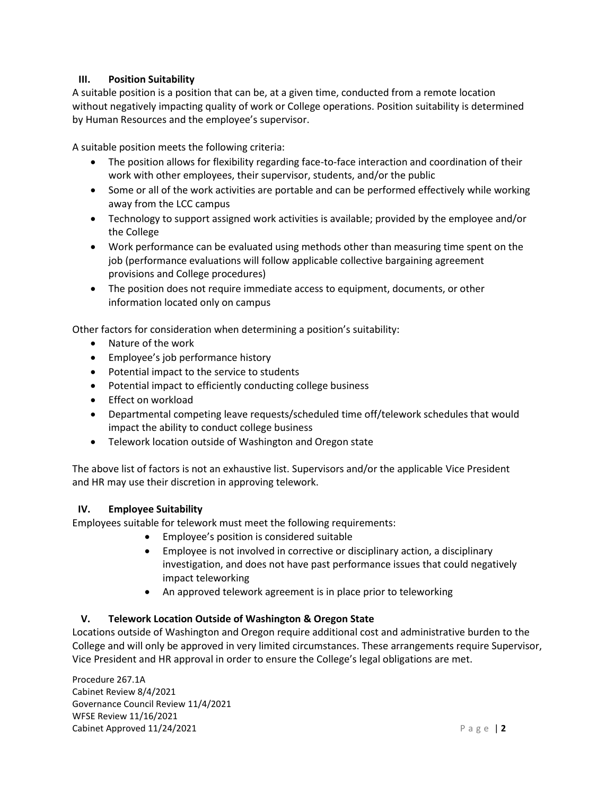## **III. Position Suitability**

A suitable position is a position that can be, at a given time, conducted from a remote location without negatively impacting quality of work or College operations. Position suitability is determined by Human Resources and the employee's supervisor.

A suitable position meets the following criteria:

- The position allows for flexibility regarding face-to-face interaction and coordination of their work with other employees, their supervisor, students, and/or the public
- Some or all of the work activities are portable and can be performed effectively while working away from the LCC campus
- Technology to support assigned work activities is available; provided by the employee and/or the College
- Work performance can be evaluated using methods other than measuring time spent on the job (performance evaluations will follow applicable collective bargaining agreement provisions and College procedures)
- The position does not require immediate access to equipment, documents, or other information located only on campus

Other factors for consideration when determining a position's suitability:

- Nature of the work
- Employee's job performance history
- Potential impact to the service to students
- Potential impact to efficiently conducting college business
- Effect on workload
- Departmental competing leave requests/scheduled time off/telework schedules that would impact the ability to conduct college business
- Telework location outside of Washington and Oregon state

The above list of factors is not an exhaustive list. Supervisors and/or the applicable Vice President and HR may use their discretion in approving telework.

# **IV. Employee Suitability**

Employees suitable for telework must meet the following requirements:

- Employee's position is considered suitable
- Employee is not involved in corrective or disciplinary action, a disciplinary investigation, and does not have past performance issues that could negatively impact teleworking
- An approved telework agreement is in place prior to teleworking

# **V. Telework Location Outside of Washington & Oregon State**

Locations outside of Washington and Oregon require additional cost and administrative burden to the College and will only be approved in very limited circumstances. These arrangements require Supervisor, Vice President and HR approval in order to ensure the College's legal obligations are met.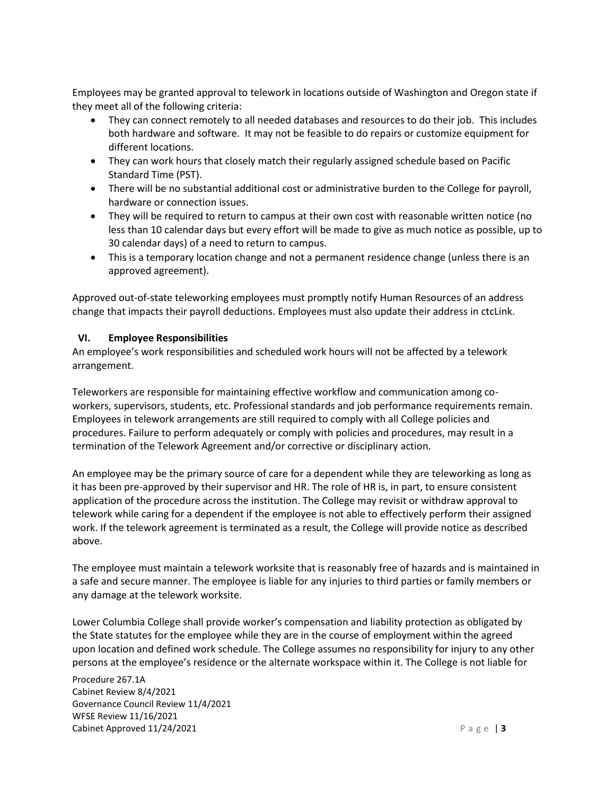Employees may be granted approval to telework in locations outside of Washington and Oregon state if they meet all of the following criteria:

- They can connect remotely to all needed databases and resources to do their job. This includes both hardware and software. It may not be feasible to do repairs or customize equipment for different locations.
- They can work hours that closely match their regularly assigned schedule based on Pacific Standard Time (PST).
- There will be no substantial additional cost or administrative burden to the College for payroll, hardware or connection issues.
- They will be required to return to campus at their own cost with reasonable written notice (no less than 10 calendar days but every effort will be made to give as much notice as possible, up to 30 calendar days) of a need to return to campus.
- This is a temporary location change and not a permanent residence change (unless there is an approved agreement).

Approved out-of-state teleworking employees must promptly notify Human Resources of an address change that impacts their payroll deductions. Employees must also update their address in ctcLink.

## **VI. Employee Responsibilities**

An employee's work responsibilities and scheduled work hours will not be affected by a telework arrangement.

Teleworkers are responsible for maintaining effective workflow and communication among coworkers, supervisors, students, etc. Professional standards and job performance requirements remain. Employees in telework arrangements are still required to comply with all College policies and procedures. Failure to perform adequately or comply with policies and procedures, may result in a termination of the Telework Agreement and/or corrective or disciplinary action.

An employee may be the primary source of care for a dependent while they are teleworking as long as it has been pre-approved by their supervisor and HR. The role of HR is, in part, to ensure consistent application of the procedure across the institution. The College may revisit or withdraw approval to telework while caring for a dependent if the employee is not able to effectively perform their assigned work. If the telework agreement is terminated as a result, the College will provide notice as described above.

The employee must maintain a telework worksite that is reasonably free of hazards and is maintained in a safe and secure manner. The employee is liable for any injuries to third parties or family members or any damage at the telework worksite.

Lower Columbia College shall provide worker's compensation and liability protection as obligated by the State statutes for the employee while they are in the course of employment within the agreed upon location and defined work schedule. The College assumes no responsibility for injury to any other persons at the employee's residence or the alternate workspace within it. The College is not liable for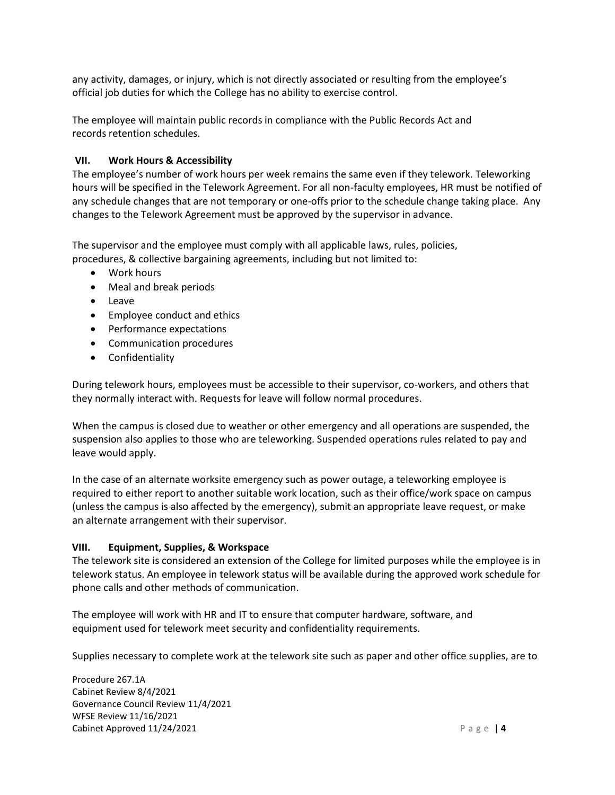any activity, damages, or injury, which is not directly associated or resulting from the employee's official job duties for which the College has no ability to exercise control.

The employee will maintain public records in compliance with the Public Records Act and records retention schedules.

## **VII. Work Hours & Accessibility**

The employee's number of work hours per week remains the same even if they telework. Teleworking hours will be specified in the Telework Agreement. For all non-faculty employees, HR must be notified of any schedule changes that are not temporary or one-offs prior to the schedule change taking place. Any changes to the Telework Agreement must be approved by the supervisor in advance.

The supervisor and the employee must comply with all applicable laws, rules, policies, procedures, & collective bargaining agreements, including but not limited to:

- Work hours
- Meal and break periods
- Leave
- Employee conduct and ethics
- Performance expectations
- Communication procedures
- Confidentiality

During telework hours, employees must be accessible to their supervisor, co-workers, and others that they normally interact with. Requests for leave will follow normal procedures.

When the campus is closed due to weather or other emergency and all operations are suspended, the suspension also applies to those who are teleworking. Suspended operations rules related to pay and leave would apply.

In the case of an alternate worksite emergency such as power outage, a teleworking employee is required to either report to another suitable work location, such as their office/work space on campus (unless the campus is also affected by the emergency), submit an appropriate leave request, or make an alternate arrangement with their supervisor.

### **VIII. Equipment, Supplies, & Workspace**

The telework site is considered an extension of the College for limited purposes while the employee is in telework status. An employee in telework status will be available during the approved work schedule for phone calls and other methods of communication.

The employee will work with HR and IT to ensure that computer hardware, software, and equipment used for telework meet security and confidentiality requirements.

Supplies necessary to complete work at the telework site such as paper and other office supplies, are to